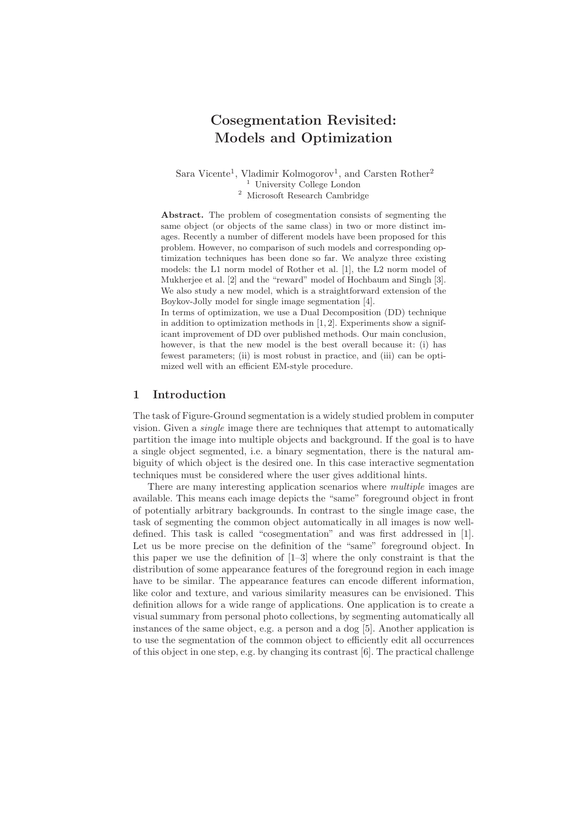# Cosegmentation Revisited: Models and Optimization

Sara Vicente<sup>1</sup>, Vladimir Kolmogorov<sup>1</sup>, and Carsten Rother<sup>2</sup> <sup>1</sup> University College London <sup>2</sup> Microsoft Research Cambridge

Abstract. The problem of cosegmentation consists of segmenting the same object (or objects of the same class) in two or more distinct images. Recently a number of different models have been proposed for this problem. However, no comparison of such models and corresponding optimization techniques has been done so far. We analyze three existing models: the L1 norm model of Rother et al. [1], the L2 norm model of Mukherjee et al. [2] and the "reward" model of Hochbaum and Singh [3]. We also study a new model, which is a straightforward extension of the Boykov-Jolly model for single image segmentation [4].

In terms of optimization, we use a Dual Decomposition (DD) technique in addition to optimization methods in [1, 2]. Experiments show a significant improvement of DD over published methods. Our main conclusion, however, is that the new model is the best overall because it: (i) has fewest parameters; (ii) is most robust in practice, and (iii) can be optimized well with an efficient EM-style procedure.

## 1 Introduction

The task of Figure-Ground segmentation is a widely studied problem in computer vision. Given a single image there are techniques that attempt to automatically partition the image into multiple objects and background. If the goal is to have a single object segmented, i.e. a binary segmentation, there is the natural ambiguity of which object is the desired one. In this case interactive segmentation techniques must be considered where the user gives additional hints.

There are many interesting application scenarios where multiple images are available. This means each image depicts the "same" foreground object in front of potentially arbitrary backgrounds. In contrast to the single image case, the task of segmenting the common object automatically in all images is now welldefined. This task is called "cosegmentation" and was first addressed in [1]. Let us be more precise on the definition of the "same" foreground object. In this paper we use the definition of [1–3] where the only constraint is that the distribution of some appearance features of the foreground region in each image have to be similar. The appearance features can encode different information, like color and texture, and various similarity measures can be envisioned. This definition allows for a wide range of applications. One application is to create a visual summary from personal photo collections, by segmenting automatically all instances of the same object, e.g. a person and a dog [5]. Another application is to use the segmentation of the common object to efficiently edit all occurrences of this object in one step, e.g. by changing its contrast [6]. The practical challenge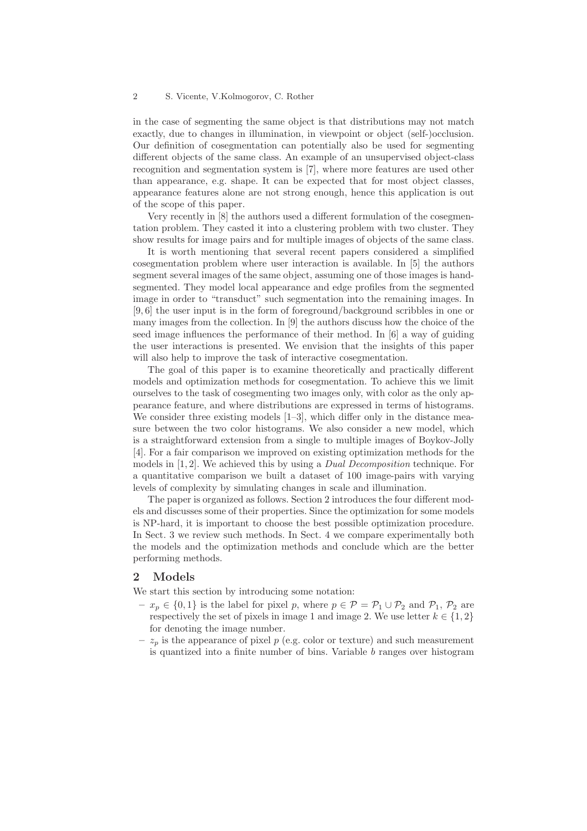in the case of segmenting the same object is that distributions may not match exactly, due to changes in illumination, in viewpoint or object (self-)occlusion. Our definition of cosegmentation can potentially also be used for segmenting different objects of the same class. An example of an unsupervised object-class recognition and segmentation system is [7], where more features are used other than appearance, e.g. shape. It can be expected that for most object classes, appearance features alone are not strong enough, hence this application is out of the scope of this paper.

Very recently in [8] the authors used a different formulation of the cosegmentation problem. They casted it into a clustering problem with two cluster. They show results for image pairs and for multiple images of objects of the same class.

It is worth mentioning that several recent papers considered a simplified cosegmentation problem where user interaction is available. In [5] the authors segment several images of the same object, assuming one of those images is handsegmented. They model local appearance and edge profiles from the segmented image in order to "transduct" such segmentation into the remaining images. In [9, 6] the user input is in the form of foreground/background scribbles in one or many images from the collection. In [9] the authors discuss how the choice of the seed image influences the performance of their method. In [6] a way of guiding the user interactions is presented. We envision that the insights of this paper will also help to improve the task of interactive cosegmentation.

The goal of this paper is to examine theoretically and practically different models and optimization methods for cosegmentation. To achieve this we limit ourselves to the task of cosegmenting two images only, with color as the only appearance feature, and where distributions are expressed in terms of histograms. We consider three existing models  $[1-3]$ , which differ only in the distance measure between the two color histograms. We also consider a new model, which is a straightforward extension from a single to multiple images of Boykov-Jolly [4]. For a fair comparison we improved on existing optimization methods for the models in [1, 2]. We achieved this by using a Dual Decomposition technique. For a quantitative comparison we built a dataset of 100 image-pairs with varying levels of complexity by simulating changes in scale and illumination.

The paper is organized as follows. Section 2 introduces the four different models and discusses some of their properties. Since the optimization for some models is NP-hard, it is important to choose the best possible optimization procedure. In Sect. 3 we review such methods. In Sect. 4 we compare experimentally both the models and the optimization methods and conclude which are the better performing methods.

# 2 Models

We start this section by introducing some notation:

- $x_p \in \{0, 1\}$  is the label for pixel p, where  $p \in \mathcal{P} = \mathcal{P}_1 \cup \mathcal{P}_2$  and  $\mathcal{P}_1$ ,  $\mathcal{P}_2$  are respectively the set of pixels in image 1 and image 2. We use letter  $k \in \{1,2\}$ for denoting the image number.
- $z_p$  is the appearance of pixel  $p$  (e.g. color or texture) and such measurement is quantized into a finite number of bins. Variable  $b$  ranges over histogram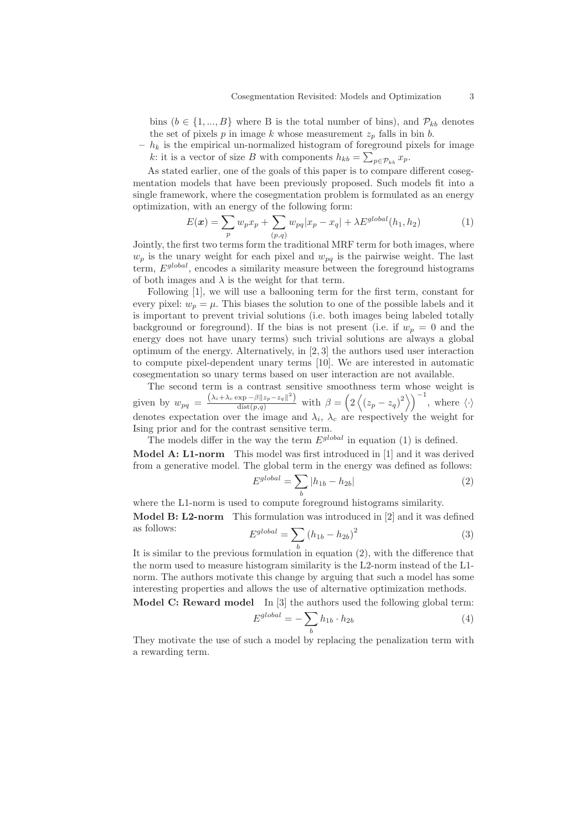bins  $(b \in \{1, ..., B\}$  where B is the total number of bins), and  $\mathcal{P}_{kb}$  denotes the set of pixels  $p$  in image  $k$  whose measurement  $z_p$  falls in bin  $b$ .

 $-h_k$  is the empirical un-normalized histogram of foreground pixels for image k: it is a vector of size B with components  $h_{kb} = \sum_{p \in \mathcal{P}_{kb}} x_p$ .

As stated earlier, one of the goals of this paper is to compare different cosegmentation models that have been previously proposed. Such models fit into a single framework, where the cosegmentation problem is formulated as an energy optimization, with an energy of the following form:

$$
E(\mathbf{x}) = \sum_{p} w_{p} x_{p} + \sum_{(p,q)} w_{pq} |x_{p} - x_{q}| + \lambda E^{global}(h_{1}, h_{2})
$$
 (1)

Jointly, the first two terms form the traditional MRF term for both images, where  $w_p$  is the unary weight for each pixel and  $w_{pq}$  is the pairwise weight. The last term,  $E<sup>global</sup>$ , encodes a similarity measure between the foreground histograms of both images and  $\lambda$  is the weight for that term.

Following [1], we will use a ballooning term for the first term, constant for every pixel:  $w_p = \mu$ . This biases the solution to one of the possible labels and it is important to prevent trivial solutions (i.e. both images being labeled totally background or foreground). If the bias is not present (i.e. if  $w_p = 0$  and the energy does not have unary terms) such trivial solutions are always a global optimum of the energy. Alternatively, in [2, 3] the authors used user interaction to compute pixel-dependent unary terms [10]. We are interested in automatic cosegmentation so unary terms based on user interaction are not available.

The second term is a contrast sensitive smoothness term whose weight is given by  $w_{pq} = \frac{(\lambda_i + \lambda_c \exp(-\beta ||z_p - z_q||^2))}{\text{dist}(p,q)}$  with  $\beta = \left(2\left\langle (z_p - z_q)^2 \right\rangle\right)^{-1}$ , where  $\langle \cdot \rangle$ denotes expectation over the image and  $\lambda_i$ ,  $\lambda_c$  are respectively the weight for Ising prior and for the contrast sensitive term.

The models differ in the way the term  $E^{global}$  in equation (1) is defined.

Model A: L1-norm This model was first introduced in [1] and it was derived from a generative model. The global term in the energy was defined as follows:  $E$ 

$$
S^{global} = \sum_{b} |h_{1b} - h_{2b}| \tag{2}
$$

where the L1-norm is used to compute foreground histograms similarity.

Model B: L2-norm This formulation was introduced in [2] and it was defined

as follows: 
$$
E^{global} = \sum_{h} (h_{1b} - h_{2b})^2
$$
 (3)

It is similar to the previous formulation in equation  $(2)$ , with the difference that the norm used to measure histogram similarity is the L2-norm instead of the L1 norm. The authors motivate this change by arguing that such a model has some interesting properties and allows the use of alternative optimization methods.

Model C: Reward model In [3] the authors used the following global term:

 $E$ 

$$
global = -\sum_{b} h_{1b} \cdot h_{2b} \tag{4}
$$

They motivate the use of such a model by replacing the penalization term with a rewarding term.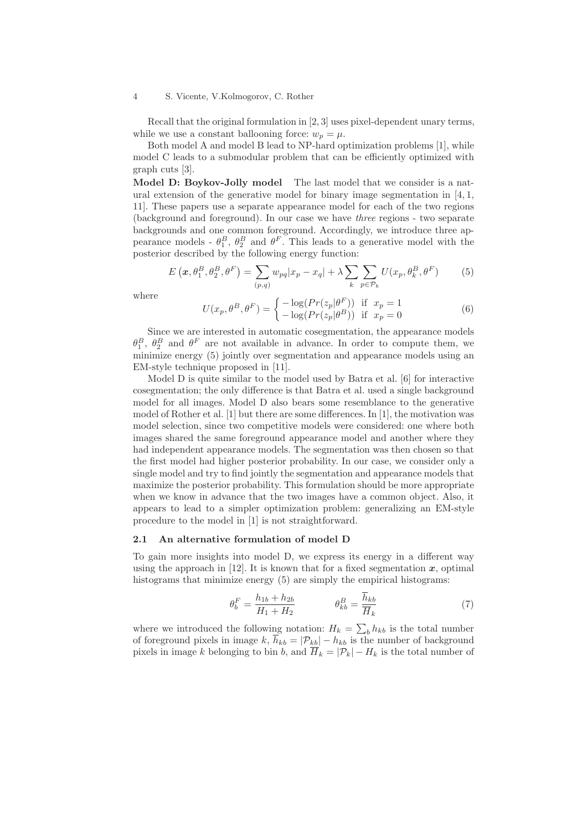Recall that the original formulation in [2, 3] uses pixel-dependent unary terms, while we use a constant ballooning force:  $w_p = \mu$ .

Both model A and model B lead to NP-hard optimization problems [1], while model C leads to a submodular problem that can be efficiently optimized with graph cuts [3].

Model D: Boykov-Jolly model The last model that we consider is a natural extension of the generative model for binary image segmentation in  $[4, 1]$ , 11]. These papers use a separate appearance model for each of the two regions (background and foreground). In our case we have three regions - two separate backgrounds and one common foreground. Accordingly, we introduce three appearance models -  $\theta_1^B$ ,  $\theta_2^B$  and  $\theta^F$ . This leads to a generative model with the posterior described by the following energy function:

$$
E\left(\boldsymbol{x}, \theta_1^B, \theta_2^B, \theta^F\right) = \sum_{(p,q)} w_{pq} |x_p - x_q| + \lambda \sum_k \sum_{p \in \mathcal{P}_k} U(x_p, \theta_k^B, \theta^F) \tag{5}
$$

where

$$
U(x_p, \theta^B, \theta^F) = \begin{cases} -\log(Pr(z_p|\theta^F)) & \text{if } x_p = 1\\ -\log(Pr(z_p|\theta^B)) & \text{if } x_p = 0 \end{cases}
$$
(6)

Since we are interested in automatic cosegmentation, the appearance models  $\theta_1^B$ ,  $\theta_2^B$  and  $\theta^F$  are not available in advance. In order to compute them, we minimize energy (5) jointly over segmentation and appearance models using an EM-style technique proposed in [11].

Model D is quite similar to the model used by Batra et al. [6] for interactive cosegmentation; the only difference is that Batra et al. used a single background model for all images. Model D also bears some resemblance to the generative model of Rother et al. [1] but there are some differences. In [1], the motivation was model selection, since two competitive models were considered: one where both images shared the same foreground appearance model and another where they had independent appearance models. The segmentation was then chosen so that the first model had higher posterior probability. In our case, we consider only a single model and try to find jointly the segmentation and appearance models that maximize the posterior probability. This formulation should be more appropriate when we know in advance that the two images have a common object. Also, it appears to lead to a simpler optimization problem: generalizing an EM-style procedure to the model in [1] is not straightforward.

## 2.1 An alternative formulation of model D

To gain more insights into model D, we express its energy in a different way using the approach in [12]. It is known that for a fixed segmentation  $x$ , optimal histograms that minimize energy  $(5)$  are simply the empirical histograms:

$$
\theta_b^F = \frac{h_{1b} + h_{2b}}{H_1 + H_2} \qquad \qquad \theta_{kb}^B = \frac{h_{kb}}{\overline{H}_k} \tag{7}
$$

where we introduced the following notation:  $H_k = \sum_b h_{kb}$  is the total number of foreground pixels in image  $k$ ,  $\overline{h}_{kb} = |\mathcal{P}_{kb}| - h_{kb}$  is the number of background pixels in image k belonging to bin b, and  $\overline{H}_k = |\mathcal{P}_k| - H_k$  is the total number of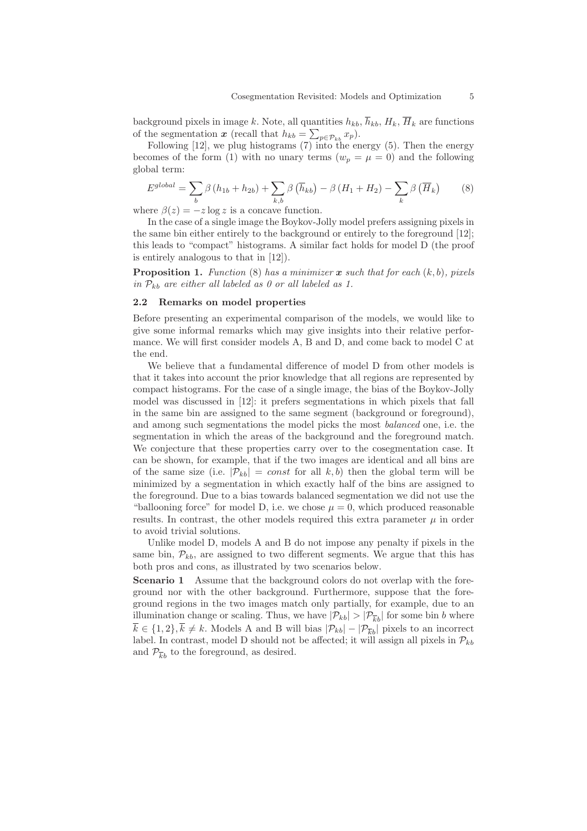background pixels in image k. Note, all quantities  $h_{kb}$ ,  $\overline{h}_{kb}$ ,  $H_k$ ,  $\overline{H}_k$  are functions of the segmentation  $x$  (recall that  $h_{kb} = \sum_{p \in \mathcal{P}_{kb}} x_p$ ).

Following  $[12]$ , we plug histograms  $(7)$  into the energy  $(5)$ . Then the energy becomes of the form (1) with no unary terms  $(w_p = \mu = 0)$  and the following global term:

$$
E^{global} = \sum_{b} \beta (h_{1b} + h_{2b}) + \sum_{k,b} \beta (\overline{h}_{kb}) - \beta (H_1 + H_2) - \sum_{k} \beta (\overline{H}_k)
$$
(8)

where  $\beta(z) = -z \log z$  is a concave function.

In the case of a single image the Boykov-Jolly model prefers assigning pixels in the same bin either entirely to the background or entirely to the foreground [12]; this leads to "compact" histograms. A similar fact holds for model D (the proof is entirely analogous to that in [12]).

**Proposition 1.** Function (8) has a minimizer  $\boldsymbol{x}$  such that for each  $(k, b)$ , pixels in  $\mathcal{P}_{kb}$  are either all labeled as 0 or all labeled as 1.

## 2.2 Remarks on model properties

Before presenting an experimental comparison of the models, we would like to give some informal remarks which may give insights into their relative performance. We will first consider models A, B and D, and come back to model C at the end.

We believe that a fundamental difference of model D from other models is that it takes into account the prior knowledge that all regions are represented by compact histograms. For the case of a single image, the bias of the Boykov-Jolly model was discussed in [12]: it prefers segmentations in which pixels that fall in the same bin are assigned to the same segment (background or foreground), and among such segmentations the model picks the most balanced one, i.e. the segmentation in which the areas of the background and the foreground match. We conjecture that these properties carry over to the cosegmentation case. It can be shown, for example, that if the two images are identical and all bins are of the same size (i.e.  $|\mathcal{P}_{kb}| = const$  for all k, b) then the global term will be minimized by a segmentation in which exactly half of the bins are assigned to the foreground. Due to a bias towards balanced segmentation we did not use the "ballooning force" for model D, i.e. we chose  $\mu = 0$ , which produced reasonable results. In contrast, the other models required this extra parameter  $\mu$  in order to avoid trivial solutions.

Unlike model D, models A and B do not impose any penalty if pixels in the same bin,  $\mathcal{P}_{kb}$ , are assigned to two different segments. We argue that this has both pros and cons, as illustrated by two scenarios below.

Scenario 1 Assume that the background colors do not overlap with the foreground nor with the other background. Furthermore, suppose that the foreground regions in the two images match only partially, for example, due to an illumination change or scaling. Thus, we have  $|\mathcal{P}_{kb}| > |\mathcal{P}_{\overline{k}b}|$  for some bin *b* where  $\overline{k} \in \{1, 2\}, \overline{k} \neq k$ . Models A and B will bias  $|\mathcal{P}_{kb}| - |\mathcal{P}_{\overline{k}b}|$  pixels to an incorrect label. In contrast, model D should not be affected; it will assign all pixels in  $\mathcal{P}_{kb}$ and  $\mathcal{P}_{\overline{k}b}$  to the foreground, as desired.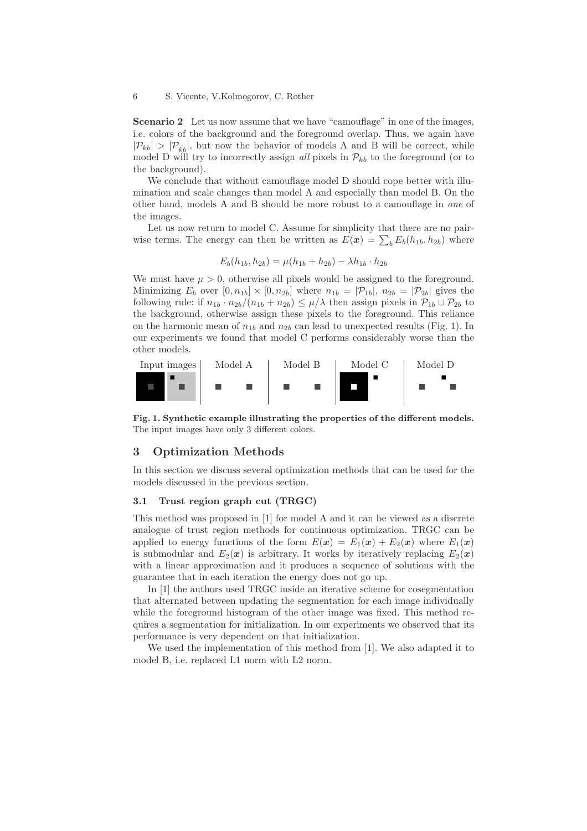Scenario 2 Let us now assume that we have "camouflage" in one of the images, i.e. colors of the background and the foreground overlap. Thus, we again have  $|\mathcal{P}_{kb}| > |\mathcal{P}_{\overline{kb}}|$ , but now the behavior of models A and B will be correct, while model D will try to incorrectly assign all pixels in  $\mathcal{P}_{kb}$  to the foreground (or to the background).

We conclude that without camouflage model D should cope better with illumination and scale changes than model A and especially than model B. On the other hand, models A and B should be more robust to a camouflage in one of the images.

Let us now return to model C. Assume for simplicity that there are no pairwise terms. The energy can then be written as  $E(\mathbf{x}) = \sum_{b} E_b(h_{1b}, h_{2b})$  where

$$
E_b(h_{1b}, h_{2b}) = \mu(h_{1b} + h_{2b}) - \lambda h_{1b} \cdot h_{2b}
$$

We must have  $\mu > 0$ , otherwise all pixels would be assigned to the foreground. Minimizing  $E_b$  over  $[0, n_{1b}] \times [0, n_{2b}]$  where  $n_{1b} = |\mathcal{P}_{1b}|$ ,  $n_{2b} = |\mathcal{P}_{2b}|$  gives the following rule: if  $n_{1b} \cdot n_{2b}/(n_{1b} + n_{2b}) \le \mu/\lambda$  then assign pixels in  $\mathcal{P}_{1b} \cup \mathcal{P}_{2b}$  to the background, otherwise assign these pixels to the foreground. This reliance on the harmonic mean of  $n_{1b}$  and  $n_{2b}$  can lead to unexpected results (Fig. 1). In our experiments we found that model C performs considerably worse than the other models.



Fig. 1. Synthetic example illustrating the properties of the different models. The input images have only 3 different colors.

# 3 Optimization Methods

In this section we discuss several optimization methods that can be used for the models discussed in the previous section.

## 3.1 Trust region graph cut (TRGC)

This method was proposed in [1] for model A and it can be viewed as a discrete analogue of trust region methods for continuous optimization. TRGC can be applied to energy functions of the form  $E(\mathbf{x}) = E_1(\mathbf{x}) + E_2(\mathbf{x})$  where  $E_1(\mathbf{x})$ is submodular and  $E_2(x)$  is arbitrary. It works by iteratively replacing  $E_2(x)$ with a linear approximation and it produces a sequence of solutions with the guarantee that in each iteration the energy does not go up.

In [1] the authors used TRGC inside an iterative scheme for cosegmentation that alternated between updating the segmentation for each image individually while the foreground histogram of the other image was fixed. This method requires a segmentation for initialization. In our experiments we observed that its performance is very dependent on that initialization.

We used the implementation of this method from [1]. We also adapted it to model B, i.e. replaced L1 norm with L2 norm.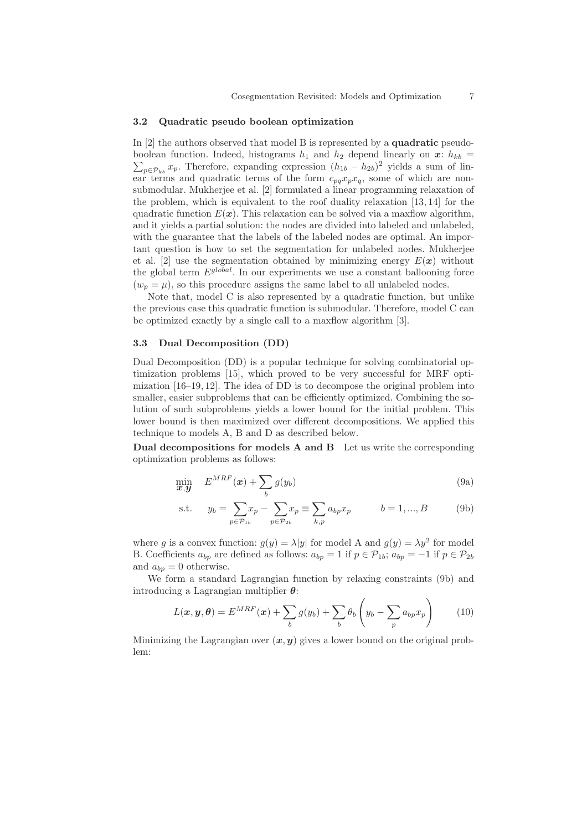## 3.2 Quadratic pseudo boolean optimization

In [2] the authors observed that model B is represented by a **quadratic** pseudoboolean function. Indeed, histograms  $h_1$  and  $h_2$  depend linearly on  $\boldsymbol{x}$ :  $h_{kb}$  =  $\sum_{p \in \mathcal{P}_{kb}} x_p$ . Therefore, expanding expression  $(h_{1b} - h_{2b})^2$  yields a sum of linear terms and quadratic terms of the form  $c_{pq}x_px_q$ , some of which are nonsubmodular. Mukherjee et al. [2] formulated a linear programming relaxation of the problem, which is equivalent to the roof duality relaxation [13, 14] for the quadratic function  $E(\mathbf{x})$ . This relaxation can be solved via a maxflow algorithm, and it yields a partial solution: the nodes are divided into labeled and unlabeled, with the guarantee that the labels of the labeled nodes are optimal. An important question is how to set the segmentation for unlabeled nodes. Mukherjee et al. [2] use the segmentation obtained by minimizing energy  $E(\boldsymbol{x})$  without the global term  $E^{global}$ . In our experiments we use a constant ballooning force  $(w_p = \mu)$ , so this procedure assigns the same label to all unlabeled nodes.

Note that, model C is also represented by a quadratic function, but unlike the previous case this quadratic function is submodular. Therefore, model C can be optimized exactly by a single call to a maxflow algorithm [3].

## 3.3 Dual Decomposition (DD)

Dual Decomposition (DD) is a popular technique for solving combinatorial optimization problems [15], which proved to be very successful for MRF optimization [16–19, 12]. The idea of DD is to decompose the original problem into smaller, easier subproblems that can be efficiently optimized. Combining the solution of such subproblems yields a lower bound for the initial problem. This lower bound is then maximized over different decompositions. We applied this technique to models A, B and D as described below.

Dual decompositions for models A and B Let us write the corresponding optimization problems as follows:

$$
\min_{\boldsymbol{x}, \boldsymbol{y}} \quad E^{MRF}(\boldsymbol{x}) + \sum_{b} g(y_b) \tag{9a}
$$

s.t. 
$$
y_b = \sum_{p \in \mathcal{P}_{1b}} x_p - \sum_{p \in \mathcal{P}_{2b}} x_p \equiv \sum_{k,p} a_{bp} x_p
$$
  $b = 1, ..., B$  (9b)

where g is a convex function:  $g(y) = \lambda |y|$  for model A and  $g(y) = \lambda y^2$  for model B. Coefficients  $a_{bp}$  are defined as follows:  $a_{bp} = 1$  if  $p \in \mathcal{P}_{1b}$ ;  $a_{bp} = -1$  if  $p \in \mathcal{P}_{2b}$ and  $a_{bp} = 0$  otherwise.

We form a standard Lagrangian function by relaxing constraints (9b) and introducing a Lagrangian multiplier  $\theta$ :

$$
L(\boldsymbol{x}, \boldsymbol{y}, \boldsymbol{\theta}) = E^{MRF}(\boldsymbol{x}) + \sum_{b} g(y_b) + \sum_{b} \theta_b \left( y_b - \sum_{p} a_{bp} x_p \right) \qquad (10)
$$

Minimizing the Lagrangian over  $(x, y)$  gives a lower bound on the original problem: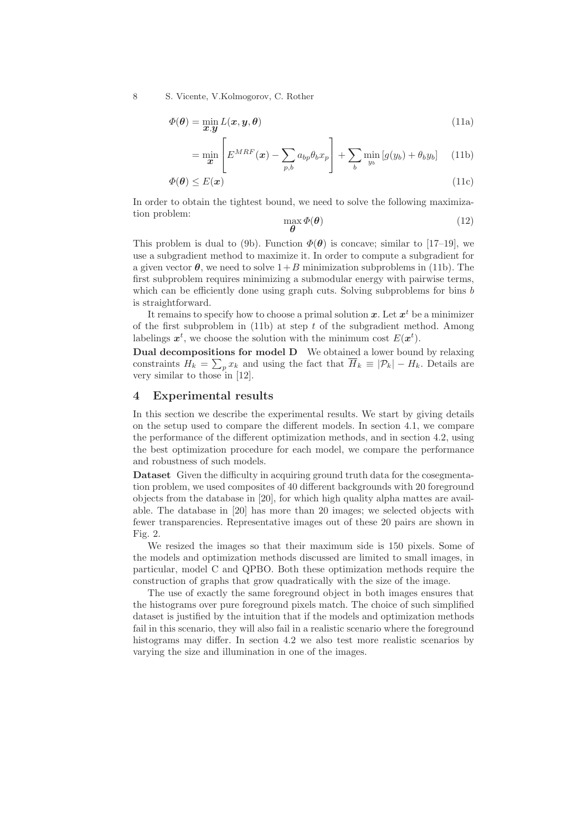$$
\Phi(\theta) = \min_{\mathbf{x}, \mathbf{y}} L(\mathbf{x}, \mathbf{y}, \theta) \tag{11a}
$$

$$
= \min_{\boldsymbol{x}} \left[ E^{MRF}(\boldsymbol{x}) - \sum_{p,b} a_{bp} \theta_b x_p \right] + \sum_b \min_{y_b} \left[ g(y_b) + \theta_b y_b \right] \tag{11b}
$$

$$
\Phi(\boldsymbol{\theta}) \le E(\boldsymbol{x}) \tag{11c}
$$

In order to obtain the tightest bound, we need to solve the following maximization problem: max

$$
\max_{\boldsymbol{\theta}} \boldsymbol{\Phi}(\boldsymbol{\theta}) \tag{12}
$$

This problem is dual to (9b). Function  $\Phi(\theta)$  is concave; similar to [17–19], we use a subgradient method to maximize it. In order to compute a subgradient for a given vector  $\theta$ , we need to solve  $1+B$  minimization subproblems in (11b). The first subproblem requires minimizing a submodular energy with pairwise terms, which can be efficiently done using graph cuts. Solving subproblems for bins  $b$ is straightforward.

It remains to specify how to choose a primal solution  $x$ . Let  $x^t$  be a minimizer of the first subproblem in (11b) at step  $t$  of the subgradient method. Among labelings  $x^t$ , we choose the solution with the minimum cost  $E(x^t)$ .

Dual decompositions for model D We obtained a lower bound by relaxing constraints  $H_k = \sum_p x_k$  and using the fact that  $H_k \equiv |\mathcal{P}_k| - H_k$ . Details are very similar to those in [12].

# 4 Experimental results

In this section we describe the experimental results. We start by giving details on the setup used to compare the different models. In section 4.1, we compare the performance of the different optimization methods, and in section 4.2, using the best optimization procedure for each model, we compare the performance and robustness of such models.

Dataset Given the difficulty in acquiring ground truth data for the cosegmentation problem, we used composites of 40 different backgrounds with 20 foreground objects from the database in [20], for which high quality alpha mattes are available. The database in [20] has more than 20 images; we selected objects with fewer transparencies. Representative images out of these 20 pairs are shown in Fig. 2.

We resized the images so that their maximum side is 150 pixels. Some of the models and optimization methods discussed are limited to small images, in particular, model C and QPBO. Both these optimization methods require the construction of graphs that grow quadratically with the size of the image.

The use of exactly the same foreground object in both images ensures that the histograms over pure foreground pixels match. The choice of such simplified dataset is justified by the intuition that if the models and optimization methods fail in this scenario, they will also fail in a realistic scenario where the foreground histograms may differ. In section 4.2 we also test more realistic scenarios by varying the size and illumination in one of the images.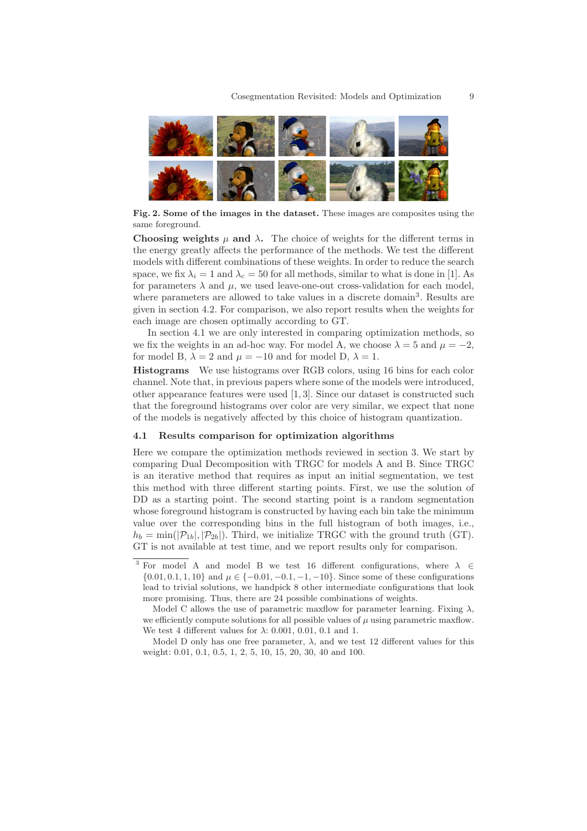

Fig. 2. Some of the images in the dataset. These images are composites using the same foreground.

Choosing weights  $\mu$  and  $\lambda$ . The choice of weights for the different terms in the energy greatly affects the performance of the methods. We test the different models with different combinations of these weights. In order to reduce the search space, we fix  $\lambda_i = 1$  and  $\lambda_c = 50$  for all methods, similar to what is done in [1]. As for parameters  $\lambda$  and  $\mu$ , we used leave-one-out cross-validation for each model, where parameters are allowed to take values in a discrete domain<sup>3</sup>. Results are given in section 4.2. For comparison, we also report results when the weights for each image are chosen optimally according to GT.

In section 4.1 we are only interested in comparing optimization methods, so we fix the weights in an ad-hoc way. For model A, we choose  $\lambda = 5$  and  $\mu = -2$ , for model B,  $\lambda = 2$  and  $\mu = -10$  and for model D,  $\lambda = 1$ .

Histograms We use histograms over RGB colors, using 16 bins for each color channel. Note that, in previous papers where some of the models were introduced, other appearance features were used [1, 3]. Since our dataset is constructed such that the foreground histograms over color are very similar, we expect that none of the models is negatively affected by this choice of histogram quantization.

#### 4.1 Results comparison for optimization algorithms

Here we compare the optimization methods reviewed in section 3. We start by comparing Dual Decomposition with TRGC for models A and B. Since TRGC is an iterative method that requires as input an initial segmentation, we test this method with three different starting points. First, we use the solution of DD as a starting point. The second starting point is a random segmentation whose foreground histogram is constructed by having each bin take the minimum value over the corresponding bins in the full histogram of both images, i.e.,  $h_b = \min(|\mathcal{P}_{1b}|, |\mathcal{P}_{2b}|)$ . Third, we initialize TRGC with the ground truth (GT). GT is not available at test time, and we report results only for comparison.

<sup>&</sup>lt;sup>3</sup> For model A and model B we test 16 different configurations, where  $\lambda \in$  $\{0.01, 0.1, 1, 10\}$  and  $\mu \in \{-0.01, -0.1, -1, -10\}$ . Since some of these configurations lead to trivial solutions, we handpick 8 other intermediate configurations that look more promising. Thus, there are 24 possible combinations of weights.

Model C allows the use of parametric maxflow for parameter learning. Fixing  $\lambda$ , we efficiently compute solutions for all possible values of  $\mu$  using parametric maxflow. We test 4 different values for  $\lambda$ : 0.001, 0.01, 0.1 and 1.

Model D only has one free parameter,  $\lambda$ , and we test 12 different values for this weight: 0.01, 0.1, 0.5, 1, 2, 5, 10, 15, 20, 30, 40 and 100.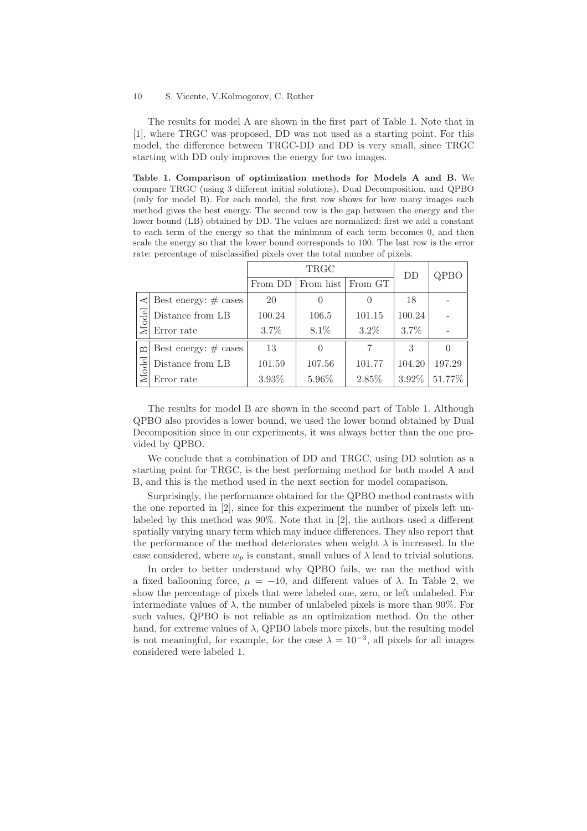The results for model A are shown in the first part of Table 1. Note that in [1], where TRGC was proposed, DD was not used as a starting point. For this model, the difference between TRGC-DD and DD is very small, since TRGC starting with DD only improves the energy for two images.

Table 1. Comparison of optimization methods for Models A and B. We compare TRGC (using 3 different initial solutions), Dual Decomposition, and QPBO (only for model B). For each model, the first row shows for how many images each method gives the best energy. The second row is the gap between the energy and the lower bound (LB) obtained by DD. The values are normalized: first we add a constant to each term of the energy so that the minimum of each term becomes 0, and then scale the energy so that the lower bound corresponds to 100. The last row is the error rate: percentage of misclassified pixels over the total number of pixels.

|              |                         |         | DD        | QPBO             |        |        |
|--------------|-------------------------|---------|-----------|------------------|--------|--------|
|              |                         | From DD | From hist | From GT          |        |        |
| ≺            | Best energy: $\#$ cases | 20      |           | $\left( \right)$ | 18     |        |
| Model        | Distance from LB        | 100.24  | 106.5     | 101.15           | 100.24 |        |
|              | Error rate              | $3.7\%$ | 8.1%      | $3.2\%$          | 3.7%   |        |
| $\mathbf{u}$ | Best energy: $\#$ cases | 13      |           | 7                | 3      |        |
| Model        | Distance from LB        | 101.59  | 107.56    | 101.77           | 104.20 | 197.29 |
|              | Error rate              | 3.93%   | 5.96%     | 2.85%            | 3.92%  | 51.77% |

The results for model B are shown in the second part of Table 1. Although QPBO also provides a lower bound, we used the lower bound obtained by Dual Decomposition since in our experiments, it was always better than the one provided by QPBO.

We conclude that a combination of DD and TRGC, using DD solution as a starting point for TRGC, is the best performing method for both model A and B, and this is the method used in the next section for model comparison.

Surprisingly, the performance obtained for the QPBO method contrasts with the one reported in [2], since for this experiment the number of pixels left unlabeled by this method was 90%. Note that in [2], the authors used a different spatially varying unary term which may induce differences. They also report that the performance of the method deteriorates when weight  $\lambda$  is increased. In the case considered, where  $w_p$  is constant, small values of  $\lambda$  lead to trivial solutions.

In order to better understand why QPBO fails, we ran the method with a fixed ballooning force,  $\mu = -10$ , and different values of  $\lambda$ . In Table 2, we show the percentage of pixels that were labeled one, zero, or left unlabeled. For intermediate values of  $\lambda$ , the number of unlabeled pixels is more than 90%. For such values, QPBO is not reliable as an optimization method. On the other hand, for extreme values of  $\lambda$ , QPBO labels more pixels, but the resulting model is not meaningful, for example, for the case  $\lambda = 10^{-3}$ , all pixels for all images considered were labeled 1.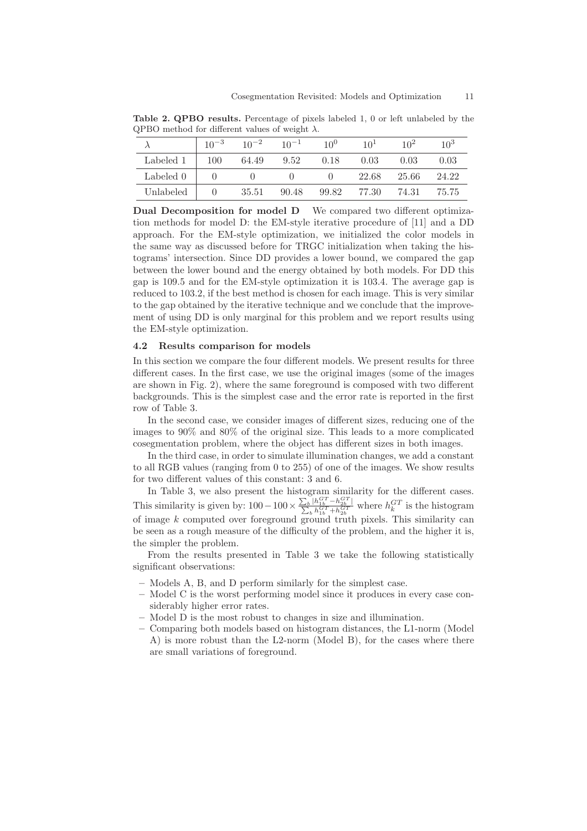|           | $10^{-3}$          | $10^{-2}$ | $10^{-1}$ | 10 <sup>0</sup> | $10^{1}$ | 10 <sup>2</sup> | $10^{3}$ |
|-----------|--------------------|-----------|-----------|-----------------|----------|-----------------|----------|
| Labeled 1 | 100                | 64.49     | 9.52 0.18 |                 | 0.03     | 0.03            | 0.03     |
| Labeled 0 |                    |           |           |                 | 22.68    | - 25.66         | 24.22    |
| Unlabeled | $\hspace{1.6cm} 0$ | 35.51     | 90.48     | 99.82           | 77.30    | 74.31           | 75.75    |

Table 2. QPBO results. Percentage of pixels labeled 1, 0 or left unlabeled by the QPBO method for different values of weight  $\lambda$ .

Dual Decomposition for model D We compared two different optimization methods for model D: the EM-style iterative procedure of [11] and a DD approach. For the EM-style optimization, we initialized the color models in the same way as discussed before for TRGC initialization when taking the histograms' intersection. Since DD provides a lower bound, we compared the gap between the lower bound and the energy obtained by both models. For DD this gap is 109.5 and for the EM-style optimization it is 103.4. The average gap is reduced to 103.2, if the best method is chosen for each image. This is very similar to the gap obtained by the iterative technique and we conclude that the improvement of using DD is only marginal for this problem and we report results using the EM-style optimization.

## 4.2 Results comparison for models

In this section we compare the four different models. We present results for three different cases. In the first case, we use the original images (some of the images are shown in Fig. 2), where the same foreground is composed with two different backgrounds. This is the simplest case and the error rate is reported in the first row of Table 3.

In the second case, we consider images of different sizes, reducing one of the images to 90% and 80% of the original size. This leads to a more complicated cosegmentation problem, where the object has different sizes in both images.

In the third case, in order to simulate illumination changes, we add a constant to all RGB values (ranging from 0 to 255) of one of the images. We show results for two different values of this constant: 3 and 6.

In Table 3, we also present the histogram similarity for the different cases. This similarity is given by:  $100-100 \times \frac{\sum_{b} |h_{1b}^{GT} - h_{2b}^{GT}}{\sum_{b} h_{1b}^{GT} + h_{2b}^{GT}}$ ∣  $\frac{|h_{1b}^{(1)} - h_{2b}^{(1)}|}{h_{1b}^{GT} + h_{2b}^{GT}}$  where  $h_k^{GT}$  is the histogram of image  $k$  computed over foreground ground truth pixels. This similarity can be seen as a rough measure of the difficulty of the problem, and the higher it is, the simpler the problem.

From the results presented in Table 3 we take the following statistically significant observations:

- Models A, B, and D perform similarly for the simplest case.
- Model C is the worst performing model since it produces in every case considerably higher error rates.
- Model D is the most robust to changes in size and illumination.
- Comparing both models based on histogram distances, the L1-norm (Model A) is more robust than the L2-norm (Model B), for the cases where there are small variations of foreground.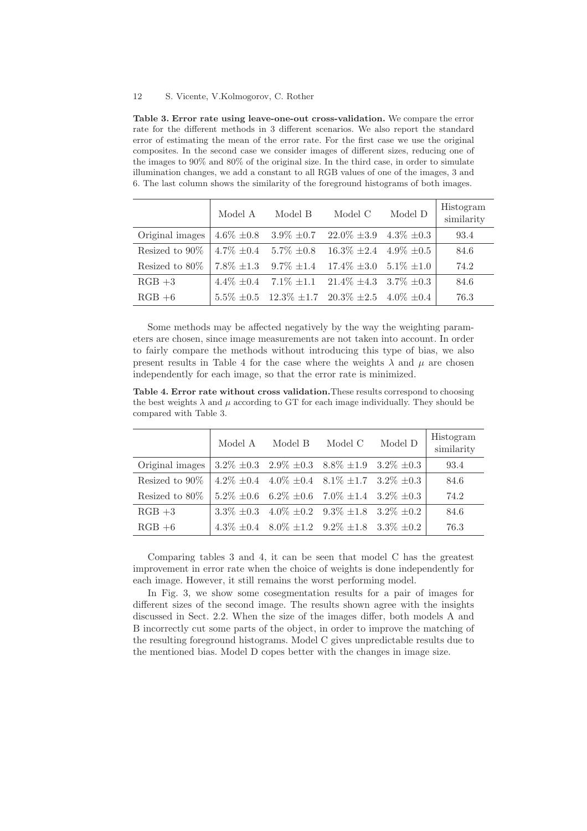Table 3. Error rate using leave-one-out cross-validation. We compare the error rate for the different methods in 3 different scenarios. We also report the standard error of estimating the mean of the error rate. For the first case we use the original composites. In the second case we consider images of different sizes, reducing one of the images to 90% and 80% of the original size. In the third case, in order to simulate illumination changes, we add a constant to all RGB values of one of the images, 3 and 6. The last column shows the similarity of the foreground histograms of both images.

|                   | Model A         | Model B                                                           | Model C                                          | Model D | Histogram<br>similarity |
|-------------------|-----------------|-------------------------------------------------------------------|--------------------------------------------------|---------|-------------------------|
| Original images   |                 | $4.6\% \pm 0.8$ $3.9\% \pm 0.7$ $22.0\% \pm 3.9$ $4.3\% \pm 0.3$  |                                                  |         | 93.4                    |
| Resized to $90\%$ | $4.7\% \pm 0.4$ |                                                                   | $5.7\% \pm 0.8$ $16.3\% \pm 2.4$ $4.9\% \pm 0.5$ |         | 84.6                    |
| Resized to $80\%$ |                 | $7.8\% \pm 1.3$ $9.7\% \pm 1.4$ $17.4\% \pm 3.0$ $5.1\% \pm 1.0$  |                                                  |         | 74.2                    |
| $RGB +3$          |                 | $4.4\% \pm 0.4$ $7.1\% \pm 1.1$ $21.4\% \pm 4.3$ $3.7\% \pm 0.3$  |                                                  |         | 84.6                    |
| $RGB + 6$         |                 | $5.5\% \pm 0.5$ $12.3\% \pm 1.7$ $20.3\% \pm 2.5$ $4.0\% \pm 0.4$ |                                                  |         | 76.3                    |

Some methods may be affected negatively by the way the weighting parameters are chosen, since image measurements are not taken into account. In order to fairly compare the methods without introducing this type of bias, we also present results in Table 4 for the case where the weights  $\lambda$  and  $\mu$  are chosen independently for each image, so that the error rate is minimized.

Table 4. Error rate without cross validation.These results correspond to choosing the best weights  $\lambda$  and  $\mu$  according to GT for each image individually. They should be compared with Table 3.

|                   | Model A | Model B | Model C                                                         | Model D | Histogram<br>similarity |
|-------------------|---------|---------|-----------------------------------------------------------------|---------|-------------------------|
| Original images   |         |         | $3.2\% \pm 0.3$ $2.9\% \pm 0.3$ $8.8\% \pm 1.9$ $3.2\% \pm 0.3$ |         | 93.4                    |
| Resized to $90\%$ |         |         | $4.2\% \pm 0.4$ $4.0\% \pm 0.4$ $8.1\% \pm 1.7$ $3.2\% \pm 0.3$ |         | 84.6                    |
| Resized to $80\%$ |         |         | $5.2\% \pm 0.6$ $6.2\% \pm 0.6$ $7.0\% \pm 1.4$ $3.2\% \pm 0.3$ |         | 74.2                    |
| $RGB +3$          |         |         | 3.3\% $\pm 0.3$ 4.0\% $\pm 0.2$ 9.3\% $\pm 1.8$ 3.2\% $\pm 0.2$ |         | 84.6                    |
| $RGB + 6$         |         |         | $4.3\% \pm 0.4$ $8.0\% \pm 1.2$ $9.2\% \pm 1.8$ $3.3\% \pm 0.2$ |         | 76.3                    |

Comparing tables 3 and 4, it can be seen that model C has the greatest improvement in error rate when the choice of weights is done independently for each image. However, it still remains the worst performing model.

In Fig. 3, we show some cosegmentation results for a pair of images for different sizes of the second image. The results shown agree with the insights discussed in Sect. 2.2. When the size of the images differ, both models A and B incorrectly cut some parts of the object, in order to improve the matching of the resulting foreground histograms. Model C gives unpredictable results due to the mentioned bias. Model D copes better with the changes in image size.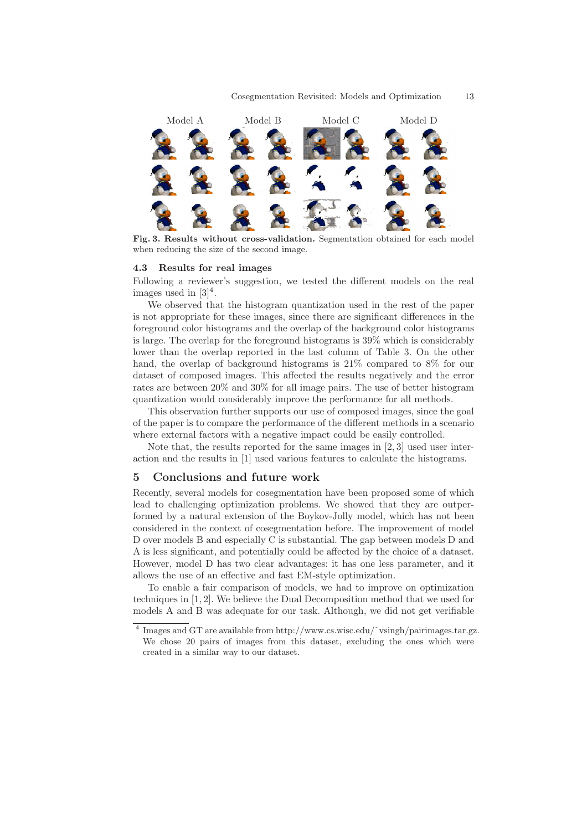

Fig. 3. Results without cross-validation. Segmentation obtained for each model when reducing the size of the second image.

#### 4.3 Results for real images

Following a reviewer's suggestion, we tested the different models on the real images used in  $[3]^4$ .

We observed that the histogram quantization used in the rest of the paper is not appropriate for these images, since there are significant differences in the foreground color histograms and the overlap of the background color histograms is large. The overlap for the foreground histograms is 39% which is considerably lower than the overlap reported in the last column of Table 3. On the other hand, the overlap of background histograms is 21% compared to 8% for our dataset of composed images. This affected the results negatively and the error rates are between 20% and 30% for all image pairs. The use of better histogram quantization would considerably improve the performance for all methods.

This observation further supports our use of composed images, since the goal of the paper is to compare the performance of the different methods in a scenario where external factors with a negative impact could be easily controlled.

Note that, the results reported for the same images in [2, 3] used user interaction and the results in [1] used various features to calculate the histograms.

## 5 Conclusions and future work

Recently, several models for cosegmentation have been proposed some of which lead to challenging optimization problems. We showed that they are outperformed by a natural extension of the Boykov-Jolly model, which has not been considered in the context of cosegmentation before. The improvement of model D over models B and especially C is substantial. The gap between models D and A is less significant, and potentially could be affected by the choice of a dataset. However, model D has two clear advantages: it has one less parameter, and it allows the use of an effective and fast EM-style optimization.

To enable a fair comparison of models, we had to improve on optimization techniques in [1, 2]. We believe the Dual Decomposition method that we used for models A and B was adequate for our task. Although, we did not get verifiable

<sup>4</sup> Images and GT are available from http://www.cs.wisc.edu/˜vsingh/pairimages.tar.gz. We chose 20 pairs of images from this dataset, excluding the ones which were created in a similar way to our dataset.